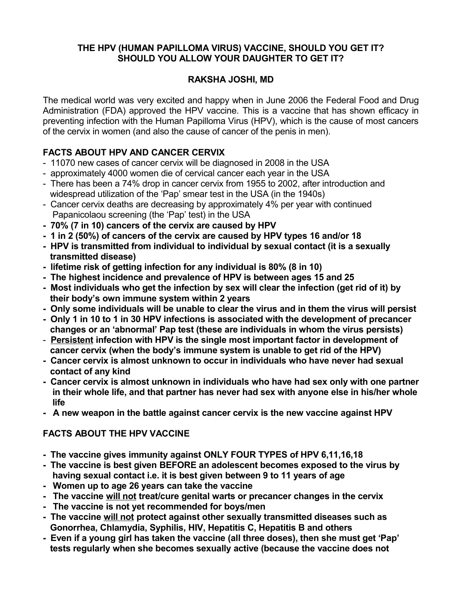### **THE HPV (HUMAN PAPILLOMA VIRUS) VACCINE, SHOULD YOU GET IT? SHOULD YOU ALLOW YOUR DAUGHTER TO GET IT?**

### **RAKSHA JOSHI, MD**

The medical world was very excited and happy when in June 2006 the Federal Food and Drug Administration (FDA) approved the HPV vaccine. This is a vaccine that has shown efficacy in preventing infection with the Human Papilloma Virus (HPV), which is the cause of most cancers of the cervix in women (and also the cause of cancer of the penis in men).

## **FACTS ABOUT HPV AND CANCER CERVIX**

- 11070 new cases of cancer cervix will be diagnosed in 2008 in the USA
- approximately 4000 women die of cervical cancer each year in the USA
- There has been a 74% drop in cancer cervix from 1955 to 2002, after introduction and widespread utilization of the 'Pap' smear test in the USA (in the 1940s)
- Cancer cervix deaths are decreasing by approximately 4% per year with continued Papanicolaou screening (the 'Pap' test) in the USA
- **70% (7 in 10) cancers of the cervix are caused by HPV**
- **1 in 2 (50%) of cancers of the cervix are caused by HPV types 16 and/or 18**
- **HPV is transmitted from individual to individual by sexual contact (it is a sexually transmitted disease)**
- **lifetime risk of getting infection for any individual is 80% (8 in 10)**
- **The highest incidence and prevalence of HPV is between ages 15 and 25**
- **Most individuals who get the infection by sex will clear the infection (get rid of it) by their body's own immune system within 2 years**
- **Only some individuals will be unable to clear the virus and in them the virus will persist**
- **Only 1 in 10 to 1 in 30 HPV infections is associated with the development of precancer changes or an 'abnormal' Pap test (these are individuals in whom the virus persists)**
- **Persistent infection with HPV is the single most important factor in development of cancer cervix (when the body's immune system is unable to get rid of the HPV)**
- **Cancer cervix is almost unknown to occur in individuals who have never had sexual contact of any kind**
- **Cancer cervix is almost unknown in individuals who have had sex only with one partner in their whole life, and that partner has never had sex with anyone else in his/her whole life**
- **A new weapon in the battle against cancer cervix is the new vaccine against HPV**

# **FACTS ABOUT THE HPV VACCINE**

- **The vaccine gives immunity against ONLY FOUR TYPES of HPV 6,11,16,18**
- **The vaccine is best given BEFORE an adolescent becomes exposed to the virus by having sexual contact i.e. it is best given between 9 to 11 years of age**
- **Women up to age 26 years can take the vaccine**
- **The vaccine will not treat/cure genital warts or precancer changes in the cervix**
- **The vaccine is not yet recommended for boys/men**
- **The vaccine will not protect against other sexually transmitted diseases such as Gonorrhea, Chlamydia, Syphilis, HIV, Hepatitis C, Hepatitis B and others**
- **Even if a young girl has taken the vaccine (all three doses), then she must get 'Pap' tests regularly when she becomes sexually active (because the vaccine does not**